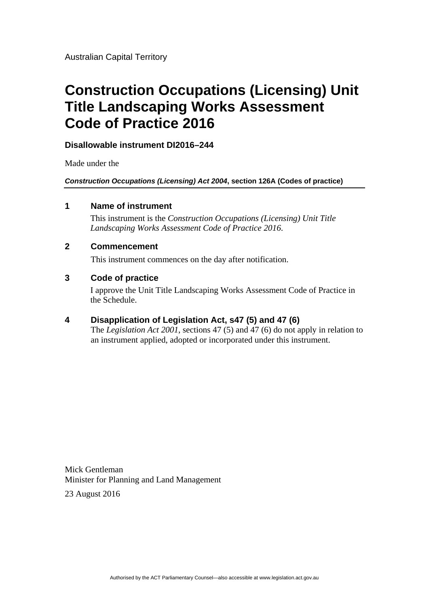# **Construction Occupations (Licensing) Unit Title Landscaping Works Assessment Code of Practice 2016**

**Disallowable instrument DI2016–244**

Made under the

*Construction Occupations (Licensing) Act 2004***, section 126A (Codes of practice)**

#### **1 Name of instrument**

This instrument is the *Construction Occupations (Licensing) Unit Title Landscaping Works Assessment Code of Practice 2016*.

#### **2 Commencement**

This instrument commences on the day after notification.

#### **3 Code of practice**

I approve the Unit Title Landscaping Works Assessment Code of Practice in the Schedule.

#### **4 Disapplication of Legislation Act, s47 (5) and 47 (6)**

The *Legislation Act 2001*, sections 47 (5) and 47 (6) do not apply in relation to an instrument applied, adopted or incorporated under this instrument.

Mick Gentleman Minister for Planning and Land Management

23 August 2016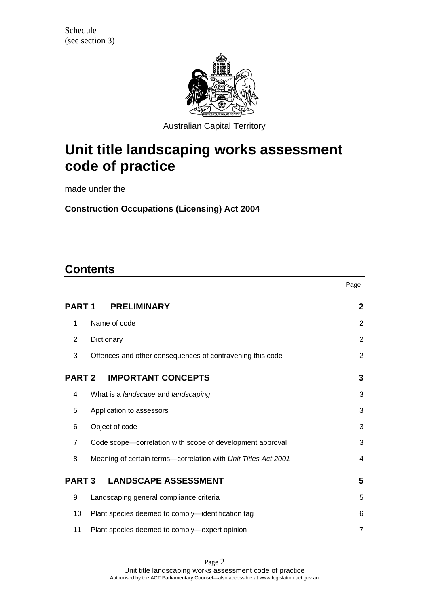

Australian Capital Territory

# **Unit title landscaping works assessment code of practice**

made under the

**Construction Occupations (Licensing) Act 2004** 

## **Contents**

|                   |                                                                | Page           |
|-------------------|----------------------------------------------------------------|----------------|
| PART <sub>1</sub> | <b>PRELIMINARY</b>                                             | $\mathbf{2}$   |
| $\mathbf{1}$      | Name of code                                                   | 2              |
| 2                 | Dictionary                                                     | $\overline{2}$ |
| 3                 | Offences and other consequences of contravening this code      | 2              |
| <b>PART 2</b>     | <b>IMPORTANT CONCEPTS</b>                                      | 3              |
| 4                 | What is a landscape and landscaping                            | 3              |
| 5                 | Application to assessors                                       | 3              |
| 6                 | Object of code                                                 | 3              |
| 7                 | Code scope-correlation with scope of development approval      | 3              |
| 8                 | Meaning of certain terms-correlation with Unit Titles Act 2001 | 4              |
| <b>PART 3</b>     | <b>LANDSCAPE ASSESSMENT</b>                                    | 5              |
| 9                 | Landscaping general compliance criteria                        | 5              |
| 10                | Plant species deemed to comply-identification tag              | 6              |
| 11                | Plant species deemed to comply-expert opinion                  | $\overline{7}$ |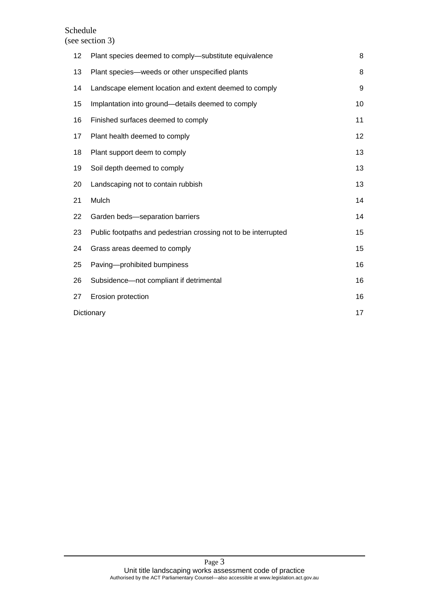#### Schedule (see section 3)

| 12         | Plant species deemed to comply-substitute equivalence          | 8  |
|------------|----------------------------------------------------------------|----|
| 13         | Plant species—weeds or other unspecified plants                | 8  |
| 14         | Landscape element location and extent deemed to comply         | 9  |
| 15         | Implantation into ground-details deemed to comply              | 10 |
| 16         | Finished surfaces deemed to comply                             | 11 |
| 17         | Plant health deemed to comply                                  | 12 |
| 18         | Plant support deem to comply                                   | 13 |
| 19         | Soil depth deemed to comply                                    | 13 |
| 20         | Landscaping not to contain rubbish                             | 13 |
| 21         | Mulch                                                          | 14 |
| 22         | Garden beds-separation barriers                                | 14 |
| 23         | Public footpaths and pedestrian crossing not to be interrupted | 15 |
| 24         | Grass areas deemed to comply                                   | 15 |
| 25         | Paving-prohibited bumpiness                                    | 16 |
| 26         | Subsidence-not compliant if detrimental                        | 16 |
| 27         | Erosion protection                                             | 16 |
| Dictionary |                                                                | 17 |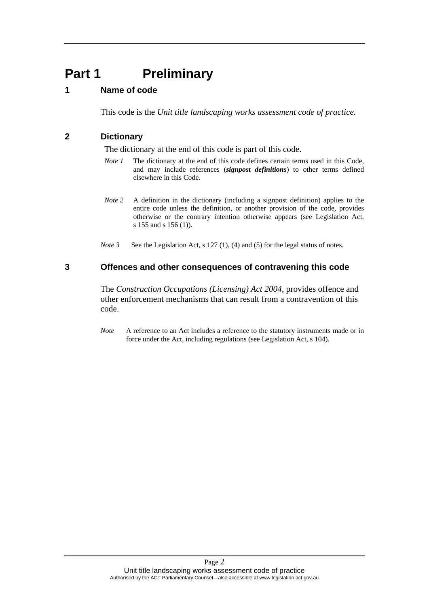## <span id="page-3-0"></span>**Part 1** Preliminary

## <span id="page-3-1"></span>**1 Name of code**

This code is the *Unit title landscaping works assessment code of practice.* 

## <span id="page-3-2"></span>**2 Dictionary**

The dictionary at the end of this code is part of this code.

- *Note 1* The dictionary at the end of this code defines certain terms used in this Code, and may include references (*signpost definitions*) to other terms defined elsewhere in this Code.
- *Note 2* A definition in the dictionary (including a signpost definition) applies to the entire code unless the definition, or another provision of the code, provides otherwise or the contrary intention otherwise appears (see Legislation Act, s 155 and s 156 (1)).
- *Note 3* See the Legislation Act, s 127 (1), (4) and (5) for the legal status of notes.

#### <span id="page-3-3"></span>**3 Offences and other consequences of contravening this code**

The *Construction Occupations (Licensing) Act 2004*, provides offence and other enforcement mechanisms that can result from a contravention of this code.

*Note* A reference to an Act includes a reference to the statutory instruments made or in force under the Act, including regulations (see Legislation Act, s 104).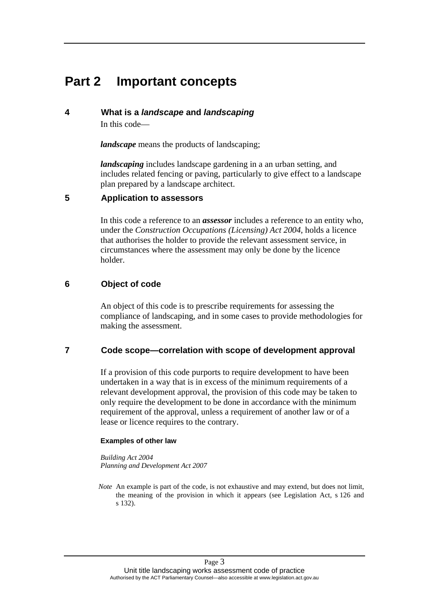## <span id="page-4-0"></span>**Part 2 Important concepts**

#### <span id="page-4-1"></span>**4 What is a** *landscape* **and** *landscaping*

In this code—

*landscape* means the products of landscaping;

*landscaping* includes landscape gardening in a an urban setting, and includes related fencing or paving, particularly to give effect to a landscape plan prepared by a landscape architect.

#### <span id="page-4-2"></span>**5 Application to assessors**

In this code a reference to an *assessor* includes a reference to an entity who, under the *Construction Occupations (Licensing) Act 2004*, holds a licence that authorises the holder to provide the relevant assessment service, in circumstances where the assessment may only be done by the licence holder.

## <span id="page-4-3"></span>**6 Object of code**

An object of this code is to prescribe requirements for assessing the compliance of landscaping, and in some cases to provide methodologies for making the assessment.

## <span id="page-4-4"></span>**7 Code scope—correlation with scope of development approval**

If a provision of this code purports to require development to have been undertaken in a way that is in excess of the minimum requirements of a relevant development approval, the provision of this code may be taken to only require the development to be done in accordance with the minimum requirement of the approval, unless a requirement of another law or of a lease or licence requires to the contrary.

#### **Examples of other law**

*Building Act 2004 Planning and Development Act 2007* 

*Note* An example is part of the code, is not exhaustive and may extend, but does not limit, the meaning of the provision in which it appears (see Legislation Act, s 126 and s 132).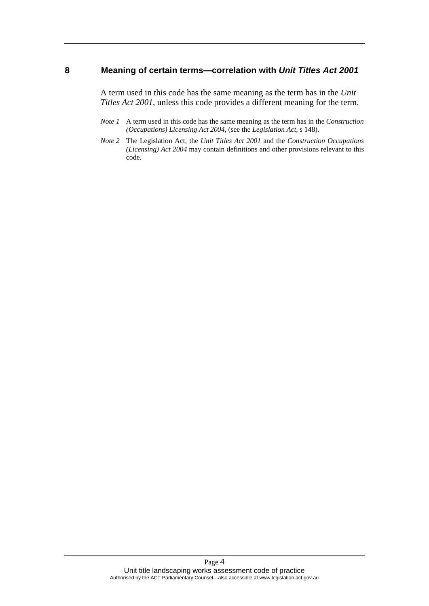#### <span id="page-5-0"></span>**8 Meaning of certain terms—correlation with** *Unit Titles Act 2001*

A term used in this code has the same meaning as the term has in the *Unit Titles Act 2001*, unless this code provides a different meaning for the term.

- *Note 1* A term used in this code has the same meaning as the term has in the *Construction (Occupations) Licensing Act 2004*, (see the *Legislation Act*, s 148).
- *Note 2* The Legislation Act, the *Unit Titles Act 2001* and the *Construction Occupations (Licensing) Act 2004* may contain definitions and other provisions relevant to this code.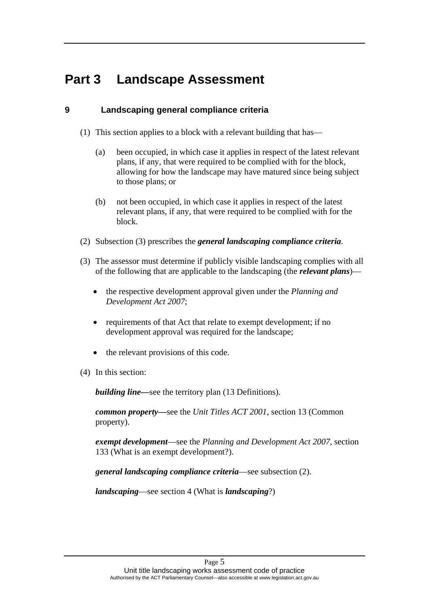## <span id="page-6-0"></span>**Part 3 Landscape Assessment**

## <span id="page-6-1"></span>**9 Landscaping general compliance criteria**

- (1) This section applies to a block with a relevant building that has—
	- (a) been occupied, in which case it applies in respect of the latest relevant plans, if any, that were required to be complied with for the block, allowing for how the landscape may have matured since being subject to those plans; or
	- (b) not been occupied, in which case it applies in respect of the latest relevant plans, if any, that were required to be complied with for the block.
- (2) Subsection (3) prescribes the *general landscaping compliance criteria*.
- (3) The assessor must determine if publicly visible landscaping complies with all of the following that are applicable to the landscaping (the *relevant plans*)
	- the respective development approval given under the *Planning and Development Act 2007*;
	- requirements of that Act that relate to exempt development; if no development approval was required for the landscape;
	- the relevant provisions of this code.
- (4) In this section:

*building line—*see the territory plan (13 Definitions).

*common property—*see the *Unit Titles ACT 2001,* section 13 (Common property).

*exempt development*—see the *Planning and Development Act 2007*, section 133 (What is an exempt development?).

*general landscaping compliance criteria*—see subsection (2).

*landscaping*—see section 4 (What is *landscaping*?)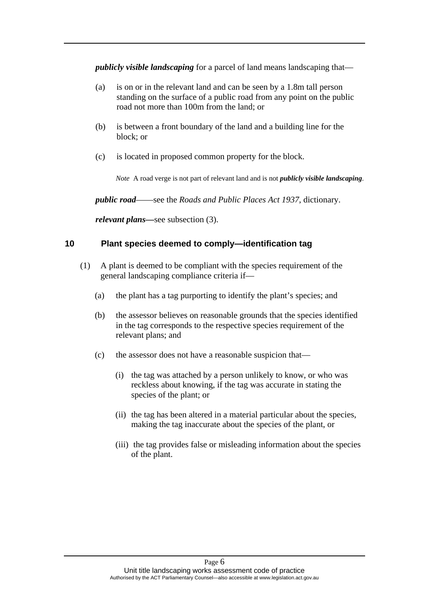*publicly visible landscaping* for a parcel of land means landscaping that—

- (a) is on or in the relevant land and can be seen by a 1.8m tall person standing on the surface of a public road from any point on the public road not more than 100m from the land; or
- (b) is between a front boundary of the land and a building line for the block; or
- (c) is located in proposed common property for the block.

*Note* A road verge is not part of relevant land and is not *publicly visible landscaping*.

*public road*——see the *Roads and Public Places Act 1937*, dictionary.

*relevant plans—*see subsection (3).

#### <span id="page-7-0"></span>**10 Plant species deemed to comply—identification tag**

- (1) A plant is deemed to be compliant with the species requirement of the general landscaping compliance criteria if—
	- (a) the plant has a tag purporting to identify the plant's species; and
	- (b) the assessor believes on reasonable grounds that the species identified in the tag corresponds to the respective species requirement of the relevant plans; and
	- (c) the assessor does not have a reasonable suspicion that—
		- (i) the tag was attached by a person unlikely to know, or who was reckless about knowing, if the tag was accurate in stating the species of the plant; or
		- (ii) the tag has been altered in a material particular about the species, making the tag inaccurate about the species of the plant, or
		- (iii) the tag provides false or misleading information about the species of the plant.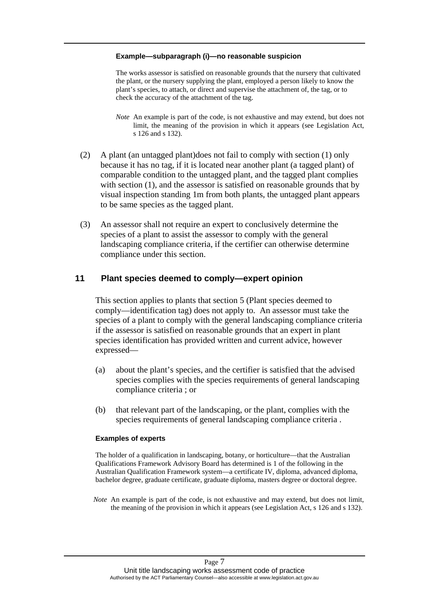#### **Example—subparagraph (i)—no reasonable suspicion**

The works assessor is satisfied on reasonable grounds that the nursery that cultivated the plant, or the nursery supplying the plant, employed a person likely to know the plant's species, to attach, or direct and supervise the attachment of, the tag, or to check the accuracy of the attachment of the tag.

- *Note* An example is part of the code, is not exhaustive and may extend, but does not limit, the meaning of the provision in which it appears (see Legislation Act, s 126 and s 132).
- (2) A plant (an untagged plant)does not fail to comply with section (1) only because it has no tag, if it is located near another plant (a tagged plant) of comparable condition to the untagged plant, and the tagged plant complies with section (1), and the assessor is satisfied on reasonable grounds that by visual inspection standing 1m from both plants, the untagged plant appears to be same species as the tagged plant.
- (3) An assessor shall not require an expert to conclusively determine the species of a plant to assist the assessor to comply with the general landscaping compliance criteria, if the certifier can otherwise determine compliance under this section.

#### <span id="page-8-0"></span>**11 Plant species deemed to comply—expert opinion**

This section applies to plants that section 5 (Plant species deemed to comply—identification tag) does not apply to. An assessor must take the species of a plant to comply with the general landscaping compliance criteria if the assessor is satisfied on reasonable grounds that an expert in plant species identification has provided written and current advice, however expressed—

- (a) about the plant's species, and the certifier is satisfied that the advised species complies with the species requirements of general landscaping compliance criteria ; or
- (b) that relevant part of the landscaping, or the plant, complies with the species requirements of general landscaping compliance criteria .

#### **Examples of experts**

The holder of a qualification in landscaping, botany, or horticulture—that the Australian Qualifications Framework Advisory Board has determined is 1 of the following in the Australian Qualification Framework system—a certificate IV, diploma, advanced diploma, bachelor degree, graduate certificate, graduate diploma, masters degree or doctoral degree.

*Note* An example is part of the code, is not exhaustive and may extend, but does not limit, the meaning of the provision in which it appears (see Legislation Act, s 126 and s 132).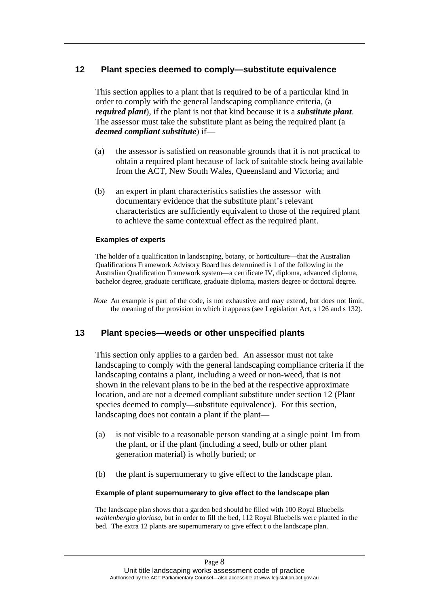## <span id="page-9-0"></span>**12 Plant species deemed to comply—substitute equivalence**

This section applies to a plant that is required to be of a particular kind in order to comply with the general landscaping compliance criteria, (a *required plant*), if the plant is not that kind because it is a *substitute plant*. The assessor must take the substitute plant as being the required plant (a *deemed compliant substitute*) if—

- (a) the assessor is satisfied on reasonable grounds that it is not practical to obtain a required plant because of lack of suitable stock being available from the ACT, New South Wales, Queensland and Victoria; and
- (b) an expert in plant characteristics satisfies the assessor with documentary evidence that the substitute plant's relevant characteristics are sufficiently equivalent to those of the required plant to achieve the same contextual effect as the required plant.

#### **Examples of experts**

The holder of a qualification in landscaping, botany, or horticulture—that the Australian Qualifications Framework Advisory Board has determined is 1 of the following in the Australian Qualification Framework system—a certificate IV, diploma, advanced diploma, bachelor degree, graduate certificate, graduate diploma, masters degree or doctoral degree.

*Note* An example is part of the code, is not exhaustive and may extend, but does not limit, the meaning of the provision in which it appears (see Legislation Act, s 126 and s 132).

## <span id="page-9-1"></span>**13 Plant species—weeds or other unspecified plants**

This section only applies to a garden bed. An assessor must not take landscaping to comply with the general landscaping compliance criteria if the landscaping contains a plant, including a weed or non-weed, that is not shown in the relevant plans to be in the bed at the respective approximate location, and are not a deemed compliant substitute under section 12 (Plant species deemed to comply—substitute equivalence). For this section, landscaping does not contain a plant if the plant—

- (a) is not visible to a reasonable person standing at a single point 1m from the plant, or if the plant (including a seed, bulb or other plant generation material) is wholly buried; or
- (b) the plant is supernumerary to give effect to the landscape plan.

#### **Example of plant supernumerary to give effect to the landscape plan**

The landscape plan shows that a garden bed should be filled with 100 Royal Bluebells *wahlenbergia gloriosa*, but in order to fill the bed, 112 Royal Bluebells were planted in the bed. The extra 12 plants are supernumerary to give effect t o the landscape plan.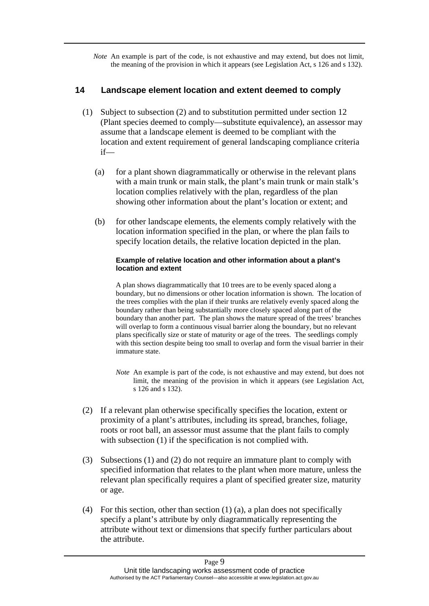*Note* An example is part of the code, is not exhaustive and may extend, but does not limit, the meaning of the provision in which it appears (see Legislation Act, s 126 and s 132).

## <span id="page-10-0"></span>**14 Landscape element location and extent deemed to comply**

- (1) Subject to subsection (2) and to substitution permitted under section 12 (Plant species deemed to comply—substitute equivalence), an assessor may assume that a landscape element is deemed to be compliant with the location and extent requirement of general landscaping compliance criteria if—
	- (a) for a plant shown diagrammatically or otherwise in the relevant plans with a main trunk or main stalk, the plant's main trunk or main stalk's location complies relatively with the plan, regardless of the plan showing other information about the plant's location or extent; and
	- (b) for other landscape elements, the elements comply relatively with the location information specified in the plan, or where the plan fails to specify location details, the relative location depicted in the plan.

#### **Example of relative location and other information about a plant's location and extent**

A plan shows diagrammatically that 10 trees are to be evenly spaced along a boundary, but no dimensions or other location information is shown. The location of the trees complies with the plan if their trunks are relatively evenly spaced along the boundary rather than being substantially more closely spaced along part of the boundary than another part. The plan shows the mature spread of the trees' branches will overlap to form a continuous visual barrier along the boundary, but no relevant plans specifically size or state of maturity or age of the trees. The seedlings comply with this section despite being too small to overlap and form the visual barrier in their immature state.

- *Note* An example is part of the code, is not exhaustive and may extend, but does not limit, the meaning of the provision in which it appears (see Legislation Act, s 126 and s 132).
- (2) If a relevant plan otherwise specifically specifies the location, extent or proximity of a plant's attributes, including its spread, branches, foliage, roots or root ball, an assessor must assume that the plant fails to comply with subsection (1) if the specification is not complied with.
- (3) Subsections (1) and (2) do not require an immature plant to comply with specified information that relates to the plant when more mature, unless the relevant plan specifically requires a plant of specified greater size, maturity or age.
- (4) For this section, other than section (1) (a), a plan does not specifically specify a plant's attribute by only diagrammatically representing the attribute without text or dimensions that specify further particulars about the attribute.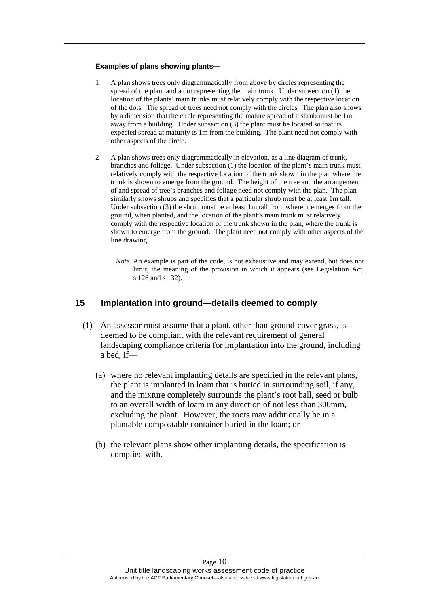#### **Examples of plans showing plants—**

- 1 A plan shows trees only diagrammatically from above by circles representing the spread of the plant and a dot representing the main trunk. Under subsection (1) the location of the plants' main trunks must relatively comply with the respective location of the dots. The spread of trees need not comply with the circles. The plan also shows by a dimension that the circle representing the mature spread of a shrub must be 1m away from a building. Under subsection (3) the plant must be located so that its expected spread at maturity is 1m from the building. The plant need not comply with other aspects of the circle.
- 2 A plan shows trees only diagrammatically in elevation, as a line diagram of trunk, branches and foliage. Under subsection (1) the location of the plant's main trunk must relatively comply with the respective location of the trunk shown in the plan where the trunk is shown to emerge from the ground. The height of the tree and the arrangement of and spread of tree's branches and foliage need not comply with the plan. The plan similarly shows shrubs and specifies that a particular shrub must be at least 1m tall. Under subsection (3) the shrub must be at least 1m tall from where it emerges from the ground, when planted, and the location of the plant's main trunk must relatively comply with the respective location of the trunk shown in the plan, where the trunk is shown to emerge from the ground. The plant need not comply with other aspects of the line drawing.
	- *Note* An example is part of the code, is not exhaustive and may extend, but does not limit, the meaning of the provision in which it appears (see Legislation Act, s 126 and s 132).

#### <span id="page-11-0"></span>**15 Implantation into ground—details deemed to comply**

- (1) An assessor must assume that a plant, other than ground-cover grass, is deemed to be compliant with the relevant requirement of general landscaping compliance criteria for implantation into the ground, including a bed, if—
	- (a) where no relevant implanting details are specified in the relevant plans, the plant is implanted in loam that is buried in surrounding soil, if any, and the mixture completely surrounds the plant's root ball, seed or bulb to an overall width of loam in any direction of not less than 300mm, excluding the plant. However, the roots may additionally be in a plantable compostable container buried in the loam; or
	- (b) the relevant plans show other implanting details, the specification is complied with.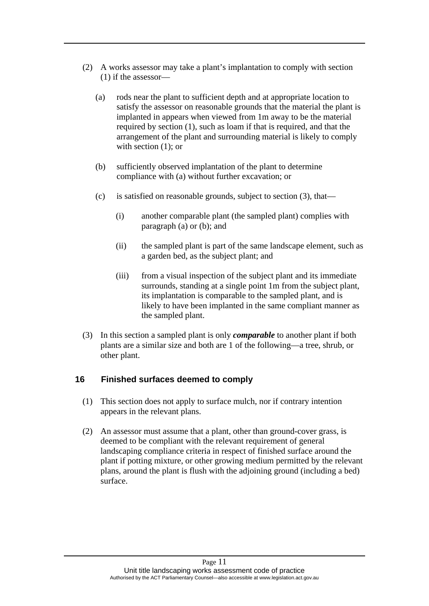- (2) A works assessor may take a plant's implantation to comply with section (1) if the assessor—
	- (a) rods near the plant to sufficient depth and at appropriate location to satisfy the assessor on reasonable grounds that the material the plant is implanted in appears when viewed from 1m away to be the material required by section (1), such as loam if that is required, and that the arrangement of the plant and surrounding material is likely to comply with section  $(1)$ ; or
	- (b) sufficiently observed implantation of the plant to determine compliance with (a) without further excavation; or
	- (c) is satisfied on reasonable grounds, subject to section (3), that—
		- (i) another comparable plant (the sampled plant) complies with paragraph (a) or (b); and
		- (ii) the sampled plant is part of the same landscape element, such as a garden bed, as the subject plant; and
		- (iii) from a visual inspection of the subject plant and its immediate surrounds, standing at a single point 1m from the subject plant, its implantation is comparable to the sampled plant, and is likely to have been implanted in the same compliant manner as the sampled plant.
- (3) In this section a sampled plant is only *comparable* to another plant if both plants are a similar size and both are 1 of the following—a tree, shrub, or other plant.

## <span id="page-12-0"></span>**16 Finished surfaces deemed to comply**

- (1) This section does not apply to surface mulch, nor if contrary intention appears in the relevant plans.
- (2) An assessor must assume that a plant, other than ground-cover grass, is deemed to be compliant with the relevant requirement of general landscaping compliance criteria in respect of finished surface around the plant if potting mixture, or other growing medium permitted by the relevant plans, around the plant is flush with the adjoining ground (including a bed) surface.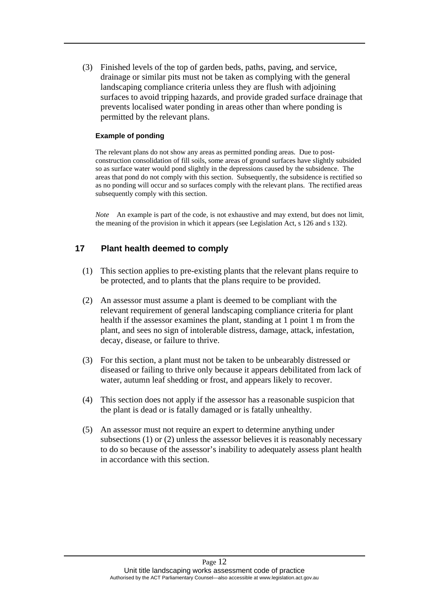(3) Finished levels of the top of garden beds, paths, paving, and service, drainage or similar pits must not be taken as complying with the general landscaping compliance criteria unless they are flush with adjoining surfaces to avoid tripping hazards, and provide graded surface drainage that prevents localised water ponding in areas other than where ponding is permitted by the relevant plans.

#### **Example of ponding**

The relevant plans do not show any areas as permitted ponding areas. Due to postconstruction consolidation of fill soils, some areas of ground surfaces have slightly subsided so as surface water would pond slightly in the depressions caused by the subsidence. The areas that pond do not comply with this section. Subsequently, the subsidence is rectified so as no ponding will occur and so surfaces comply with the relevant plans. The rectified areas subsequently comply with this section.

*Note* An example is part of the code, is not exhaustive and may extend, but does not limit, the meaning of the provision in which it appears (see Legislation Act, s 126 and s 132).

## <span id="page-13-0"></span>**17 Plant health deemed to comply**

- (1) This section applies to pre-existing plants that the relevant plans require to be protected, and to plants that the plans require to be provided.
- (2) An assessor must assume a plant is deemed to be compliant with the relevant requirement of general landscaping compliance criteria for plant health if the assessor examines the plant, standing at 1 point 1 m from the plant, and sees no sign of intolerable distress, damage, attack, infestation, decay, disease, or failure to thrive.
- (3) For this section, a plant must not be taken to be unbearably distressed or diseased or failing to thrive only because it appears debilitated from lack of water, autumn leaf shedding or frost, and appears likely to recover.
- (4) This section does not apply if the assessor has a reasonable suspicion that the plant is dead or is fatally damaged or is fatally unhealthy.
- (5) An assessor must not require an expert to determine anything under subsections (1) or (2) unless the assessor believes it is reasonably necessary to do so because of the assessor's inability to adequately assess plant health in accordance with this section.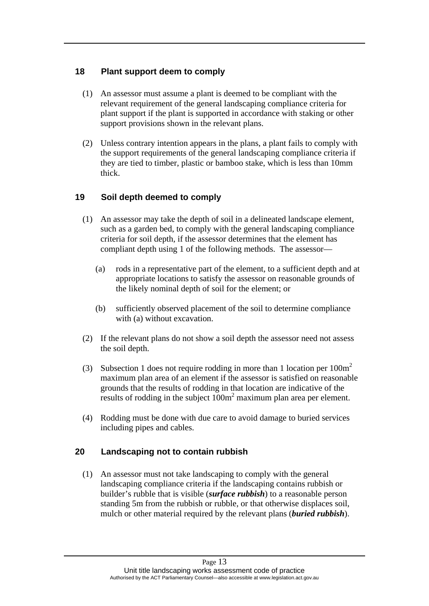## <span id="page-14-0"></span>**18 Plant support deem to comply**

- (1) An assessor must assume a plant is deemed to be compliant with the relevant requirement of the general landscaping compliance criteria for plant support if the plant is supported in accordance with staking or other support provisions shown in the relevant plans.
- (2) Unless contrary intention appears in the plans, a plant fails to comply with the support requirements of the general landscaping compliance criteria if they are tied to timber, plastic or bamboo stake, which is less than 10mm thick.

## <span id="page-14-1"></span>**19 Soil depth deemed to comply**

- (1) An assessor may take the depth of soil in a delineated landscape element, such as a garden bed, to comply with the general landscaping compliance criteria for soil depth, if the assessor determines that the element has compliant depth using 1 of the following methods. The assessor—
	- (a) rods in a representative part of the element, to a sufficient depth and at appropriate locations to satisfy the assessor on reasonable grounds of the likely nominal depth of soil for the element; or
	- (b) sufficiently observed placement of the soil to determine compliance with (a) without excavation.
- (2) If the relevant plans do not show a soil depth the assessor need not assess the soil depth.
- (3) Subsection 1 does not require rodding in more than 1 location per  $100m^2$ maximum plan area of an element if the assessor is satisfied on reasonable grounds that the results of rodding in that location are indicative of the results of rodding in the subject  $100m<sup>2</sup>$  maximum plan area per element.
- (4) Rodding must be done with due care to avoid damage to buried services including pipes and cables.

## <span id="page-14-2"></span>**20 Landscaping not to contain rubbish**

(1) An assessor must not take landscaping to comply with the general landscaping compliance criteria if the landscaping contains rubbish or builder's rubble that is visible (*surface rubbish*) to a reasonable person standing 5m from the rubbish or rubble, or that otherwise displaces soil, mulch or other material required by the relevant plans (*buried rubbish*).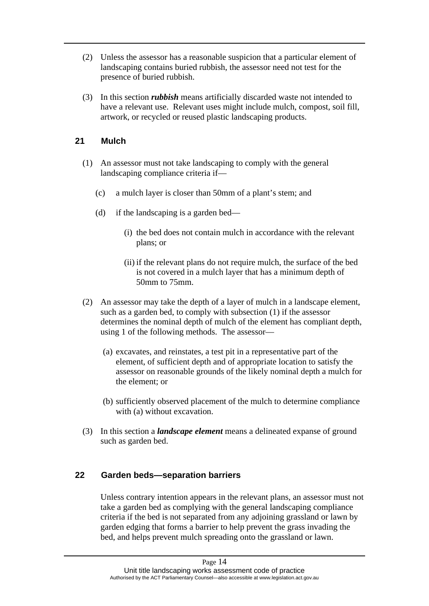- (2) Unless the assessor has a reasonable suspicion that a particular element of landscaping contains buried rubbish, the assessor need not test for the presence of buried rubbish.
- (3) In this section *rubbish* means artificially discarded waste not intended to have a relevant use. Relevant uses might include mulch, compost, soil fill, artwork, or recycled or reused plastic landscaping products.

## <span id="page-15-0"></span>**21 Mulch**

- (1) An assessor must not take landscaping to comply with the general landscaping compliance criteria if—
	- (c) a mulch layer is closer than 50mm of a plant's stem; and
	- (d) if the landscaping is a garden bed—
		- (i) the bed does not contain mulch in accordance with the relevant plans; or
		- (ii) if the relevant plans do not require mulch, the surface of the bed is not covered in a mulch layer that has a minimum depth of 50mm to 75mm.
- (2) An assessor may take the depth of a layer of mulch in a landscape element, such as a garden bed, to comply with subsection (1) if the assessor determines the nominal depth of mulch of the element has compliant depth, using 1 of the following methods. The assessor—
	- (a) excavates, and reinstates, a test pit in a representative part of the element, of sufficient depth and of appropriate location to satisfy the assessor on reasonable grounds of the likely nominal depth a mulch for the element; or
	- (b) sufficiently observed placement of the mulch to determine compliance with (a) without excavation.
- (3) In this section a *landscape element* means a delineated expanse of ground such as garden bed.

## <span id="page-15-1"></span>**22 Garden beds—separation barriers**

Unless contrary intention appears in the relevant plans, an assessor must not take a garden bed as complying with the general landscaping compliance criteria if the bed is not separated from any adjoining grassland or lawn by garden edging that forms a barrier to help prevent the grass invading the bed, and helps prevent mulch spreading onto the grassland or lawn.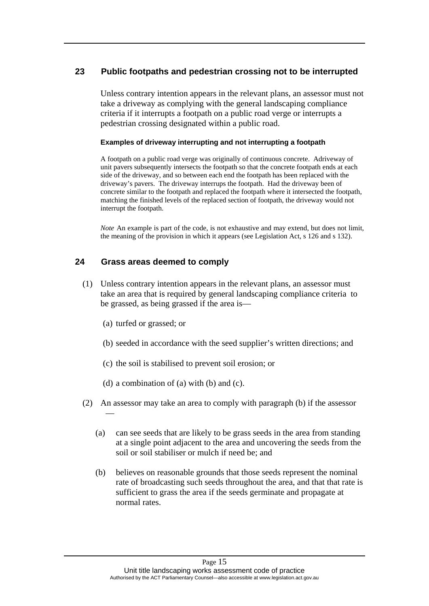## <span id="page-16-0"></span>**23 Public footpaths and pedestrian crossing not to be interrupted**

Unless contrary intention appears in the relevant plans, an assessor must not take a driveway as complying with the general landscaping compliance criteria if it interrupts a footpath on a public road verge or interrupts a pedestrian crossing designated within a public road.

#### **Examples of driveway interrupting and not interrupting a footpath**

A footpath on a public road verge was originally of continuous concrete. Adriveway of unit pavers subsequently intersects the footpath so that the concrete footpath ends at each side of the driveway, and so between each end the footpath has been replaced with the driveway's pavers. The driveway interrups the footpath. Had the driveway been of concrete similar to the footpath and replaced the footpath where it intersected the footpath, matching the finished levels of the replaced section of footpath, the driveway would not interrupt the footpath.

*Note* An example is part of the code, is not exhaustive and may extend, but does not limit, the meaning of the provision in which it appears (see Legislation Act, s 126 and s 132).

## <span id="page-16-1"></span>**24 Grass areas deemed to comply**

- (1) Unless contrary intention appears in the relevant plans, an assessor must take an area that is required by general landscaping compliance criteria to be grassed, as being grassed if the area is—
	- (a) turfed or grassed; or
	- (b) seeded in accordance with the seed supplier's written directions; and
	- (c) the soil is stabilised to prevent soil erosion; or
	- (d) a combination of (a) with (b) and (c).
- (2) An assessor may take an area to comply with paragraph (b) if the assessor —
	- (a) can see seeds that are likely to be grass seeds in the area from standing at a single point adjacent to the area and uncovering the seeds from the soil or soil stabiliser or mulch if need be; and
	- (b) believes on reasonable grounds that those seeds represent the nominal rate of broadcasting such seeds throughout the area, and that that rate is sufficient to grass the area if the seeds germinate and propagate at normal rates.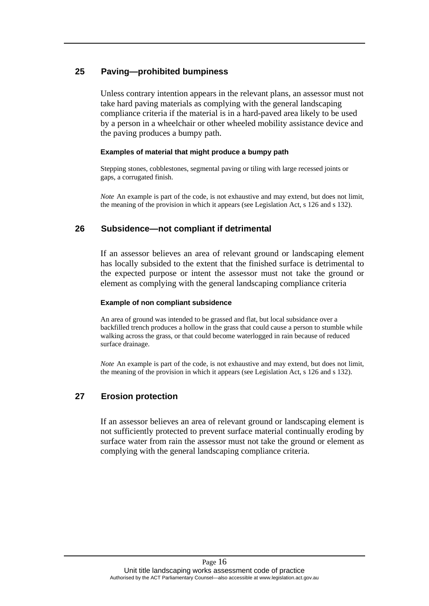## <span id="page-17-0"></span>**25 Paving—prohibited bumpiness**

Unless contrary intention appears in the relevant plans, an assessor must not take hard paving materials as complying with the general landscaping compliance criteria if the material is in a hard-paved area likely to be used by a person in a wheelchair or other wheeled mobility assistance device and the paving produces a bumpy path.

#### **Examples of material that might produce a bumpy path**

Stepping stones, cobblestones, segmental paving or tiling with large recessed joints or gaps, a corrugated finish.

*Note* An example is part of the code, is not exhaustive and may extend, but does not limit, the meaning of the provision in which it appears (see Legislation Act, s 126 and s 132).

#### <span id="page-17-1"></span>**26 Subsidence—not compliant if detrimental**

If an assessor believes an area of relevant ground or landscaping element has locally subsided to the extent that the finished surface is detrimental to the expected purpose or intent the assessor must not take the ground or element as complying with the general landscaping compliance criteria

#### **Example of non compliant subsidence**

An area of ground was intended to be grassed and flat, but local subsidance over a backfilled trench produces a hollow in the grass that could cause a person to stumble while walking across the grass, or that could become waterlogged in rain because of reduced surface drainage.

*Note* An example is part of the code, is not exhaustive and may extend, but does not limit, the meaning of the provision in which it appears (see Legislation Act, s 126 and s 132).

## <span id="page-17-2"></span>**27 Erosion protection**

If an assessor believes an area of relevant ground or landscaping element is not sufficiently protected to prevent surface material continually eroding by surface water from rain the assessor must not take the ground or element as complying with the general landscaping compliance criteria.